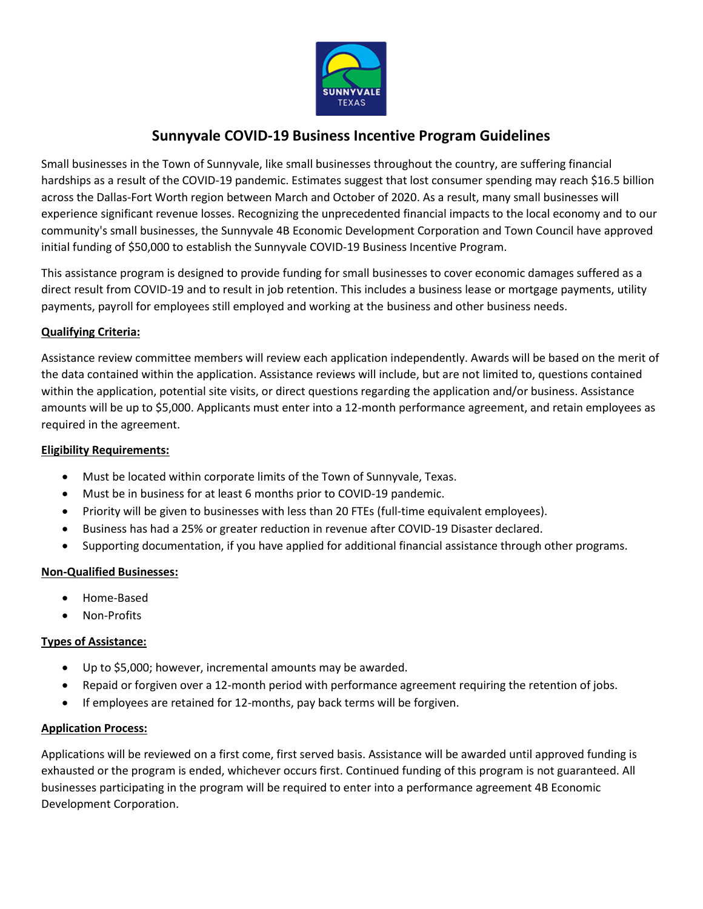

## **Sunnyvale COVID-19 Business Incentive Program Guidelines**

Small businesses in the Town of Sunnyvale, like small businesses throughout the country, are suffering financial hardships as a result of the COVID-19 pandemic. Estimates suggest that lost consumer spending may reach \$16.5 billion across the Dallas-Fort Worth region between March and October of 2020. As a result, many small businesses will experience significant revenue losses. Recognizing the unprecedented financial impacts to the local economy and to our community's small businesses, the Sunnyvale 4B Economic Development Corporation and Town Council have approved initial funding of \$50,000 to establish the Sunnyvale COVID-19 Business Incentive Program.

This assistance program is designed to provide funding for small businesses to cover economic damages suffered as a direct result from COVID-19 and to result in job retention. This includes a business lease or mortgage payments, utility payments, payroll for employees still employed and working at the business and other business needs.

## **Qualifying Criteria:**

Assistance review committee members will review each application independently. Awards will be based on the merit of the data contained within the application. Assistance reviews will include, but are not limited to, questions contained within the application, potential site visits, or direct questions regarding the application and/or business. Assistance amounts will be up to \$5,000. Applicants must enter into a 12-month performance agreement, and retain employees as required in the agreement.

## **Eligibility Requirements:**

- Must be located within corporate limits of the Town of Sunnyvale, Texas.
- Must be in business for at least 6 months prior to COVID-19 pandemic.
- Priority will be given to businesses with less than 20 FTEs (full-time equivalent employees).
- Business has had a 25% or greater reduction in revenue after COVID-19 Disaster declared.
- Supporting documentation, if you have applied for additional financial assistance through other programs.

## **Non-Qualified Businesses:**

- Home-Based
- Non-Profits

## **Types of Assistance:**

- Up to \$5,000; however, incremental amounts may be awarded.
- Repaid or forgiven over a 12-month period with performance agreement requiring the retention of jobs.
- If employees are retained for 12-months, pay back terms will be forgiven.

## **Application Process:**

Applications will be reviewed on a first come, first served basis. Assistance will be awarded until approved funding is exhausted or the program is ended, whichever occurs first. Continued funding of this program is not guaranteed. All businesses participating in the program will be required to enter into a performance agreement 4B Economic Development Corporation.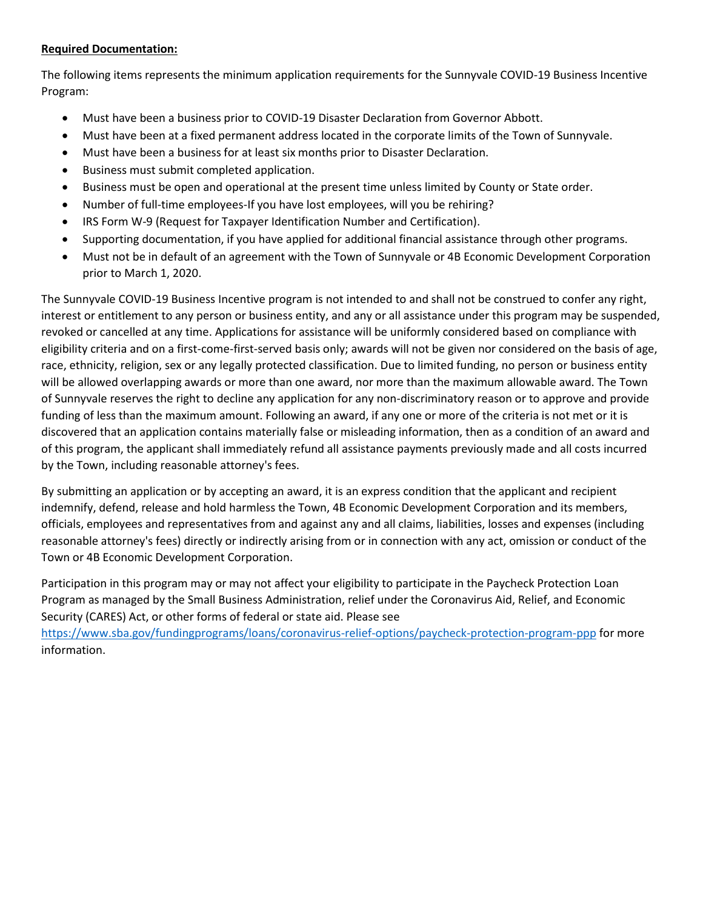## **Required Documentation:**

The following items represents the minimum application requirements for the Sunnyvale COVID-19 Business Incentive Program:

- Must have been a business prior to COVID-19 Disaster Declaration from Governor Abbott.
- Must have been at a fixed permanent address located in the corporate limits of the Town of Sunnyvale.
- Must have been a business for at least six months prior to Disaster Declaration.
- Business must submit completed application.
- Business must be open and operational at the present time unless limited by County or State order.
- Number of full-time employees-If you have lost employees, will you be rehiring?
- IRS Form W-9 (Request for Taxpayer Identification Number and Certification).
- Supporting documentation, if you have applied for additional financial assistance through other programs.
- Must not be in default of an agreement with the Town of Sunnyvale or 4B Economic Development Corporation prior to March 1, 2020.

The Sunnyvale COVID-19 Business Incentive program is not intended to and shall not be construed to confer any right, interest or entitlement to any person or business entity, and any or all assistance under this program may be suspended, revoked or cancelled at any time. Applications for assistance will be uniformly considered based on compliance with eligibility criteria and on a first-come-first-served basis only; awards will not be given nor considered on the basis of age, race, ethnicity, religion, sex or any legally protected classification. Due to limited funding, no person or business entity will be allowed overlapping awards or more than one award, nor more than the maximum allowable award. The Town of Sunnyvale reserves the right to decline any application for any non-discriminatory reason or to approve and provide funding of less than the maximum amount. Following an award, if any one or more of the criteria is not met or it is discovered that an application contains materially false or misleading information, then as a condition of an award and of this program, the applicant shall immediately refund all assistance payments previously made and all costs incurred by the Town, including reasonable attorney's fees.

By submitting an application or by accepting an award, it is an express condition that the applicant and recipient indemnify, defend, release and hold harmless the Town, 4B Economic Development Corporation and its members, officials, employees and representatives from and against any and all claims, liabilities, losses and expenses (including reasonable attorney's fees) directly or indirectly arising from or in connection with any act, omission or conduct of the Town or 4B Economic Development Corporation.

Participation in this program may or may not affect your eligibility to participate in the Paycheck Protection Loan Program as managed by the Small Business Administration, relief under the Coronavirus Aid, Relief, and Economic Security (CARES) Act, or other forms of federal or state aid. Please see

<https://www.sba.gov/fundingprograms/loans/coronavirus-relief-options/paycheck-protection-program-ppp> for more information.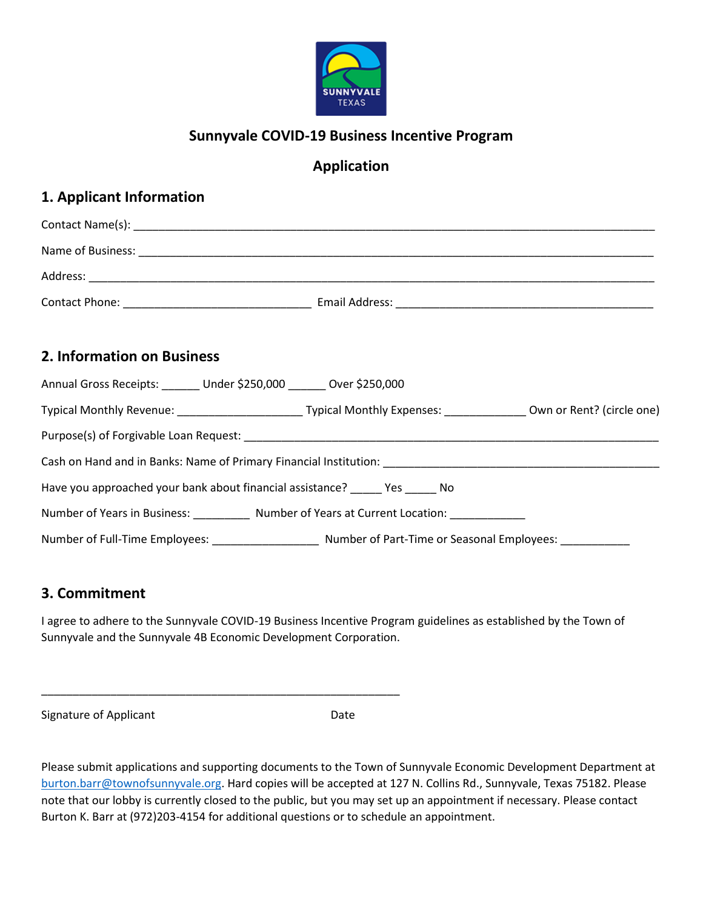

# **Sunnyvale COVID-19 Business Incentive Program**

# **Application**

# **1. Applicant Information**

| 2. Information on Business                                                                                             |
|------------------------------------------------------------------------------------------------------------------------|
| Annual Gross Receipts: ______ Under \$250,000 ______ Over \$250,000                                                    |
| Typical Monthly Revenue: ___________________________Typical Monthly Expenses: _______________Own or Rent? (circle one) |
|                                                                                                                        |
|                                                                                                                        |
| Have you approached your bank about financial assistance? ______ Yes ______ No                                         |
| Number of Years in Business: ___________ Number of Years at Current Location: __________                               |
|                                                                                                                        |

## **3. Commitment**

I agree to adhere to the Sunnyvale COVID-19 Business Incentive Program guidelines as established by the Town of Sunnyvale and the Sunnyvale 4B Economic Development Corporation.

\_\_\_\_\_\_\_\_\_\_\_\_\_\_\_\_\_\_\_\_\_\_\_\_\_\_\_\_\_\_\_\_\_\_\_\_\_\_\_\_\_\_\_\_\_\_\_\_\_\_\_\_\_\_\_\_\_

Signature of Applicant Date

Please submit applications and supporting documents to the Town of Sunnyvale Economic Development Department at [burton.barr@townofsunnyvale.org.](mailto:burton.barr@townofsunnyvale.org) Hard copies will be accepted at 127 N. Collins Rd., Sunnyvale, Texas 75182. Please note that our lobby is currently closed to the public, but you may set up an appointment if necessary. Please contact Burton K. Barr at (972)203-4154 for additional questions or to schedule an appointment.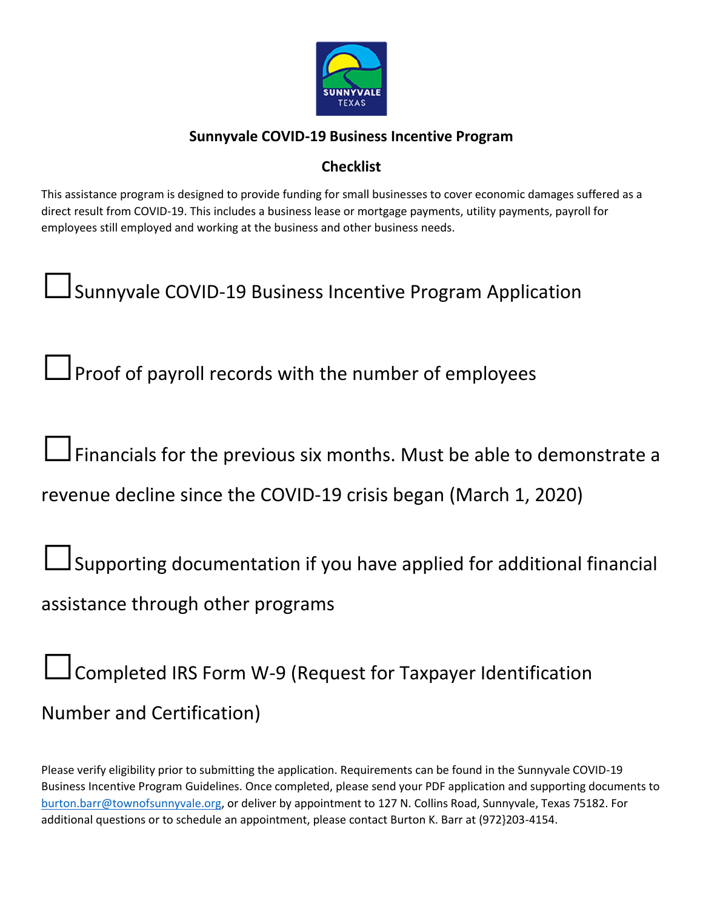

# **Sunnyvale COVID-19 Business Incentive Program**

# **Checklist**

This assistance program is designed to provide funding for small businesses to cover economic damages suffered as a direct result from COVID-19. This includes a business lease or mortgage payments, utility payments, payroll for employees still employed and working at the business and other business needs.

**Sunnyvale COVID-19 Business Incentive Program Application** 

**□**Proof of payroll records with the number of employees

**□**Financials for the previous six months. Must be able to demonstrate a

revenue decline since the COVID-19 crisis began (March 1, 2020)

**□**Supporting documentation if you have applied for additional financial assistance through other programs

**□**Completed IRS Form W-9 (Request for Taxpayer Identification Number and Certification)

Please verify eligibility prior to submitting the application. Requirements can be found in the Sunnyvale COVID-19 Business Incentive Program Guidelines. Once completed, please send your PDF application and supporting documents to [burton.barr@townofsunnyvale.org,](mailto:burton.barr@townofsunnyvale.org) or deliver by appointment to 127 N. Collins Road, Sunnyvale, Texas 75182. For additional questions or to schedule an appointment, please contact Burton K. Barr at (972}203-4154.